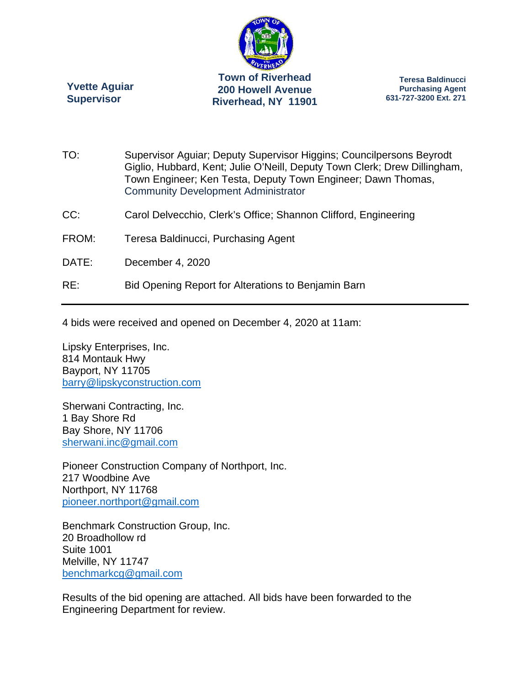

**Yvette Aguiar Supervisor** 

**Teresa Baldinucci Purchasing Agent 631-727-3200 Ext. 271** 

- TO: Supervisor Aguiar; Deputy Supervisor Higgins; Councilpersons Beyrodt Giglio, Hubbard, Kent; Julie O'Neill, Deputy Town Clerk; Drew Dillingham, Town Engineer; Ken Testa, Deputy Town Engineer; Dawn Thomas, Community Development Administrator
- CC: Carol Delvecchio, Clerk's Office; Shannon Clifford, Engineering
- FROM: Teresa Baldinucci, Purchasing Agent
- DATE: December 4, 2020
- RE: Bid Opening Report for Alterations to Benjamin Barn

4 bids were received and opened on December 4, 2020 at 11am:

Lipsky Enterprises, Inc. 814 Montauk Hwy Bayport, NY 11705 barry@lipskyconstruction.com

Sherwani Contracting, Inc. 1 Bay Shore Rd Bay Shore, NY 11706 sherwani.inc@gmail.com

Pioneer Construction Company of Northport, Inc. 217 Woodbine Ave Northport, NY 11768 pioneer.northport@gmail.com

Benchmark Construction Group, Inc. 20 Broadhollow rd Suite 1001 Melville, NY 11747 benchmarkcg@gmail.com

Results of the bid opening are attached. All bids have been forwarded to the Engineering Department for review.